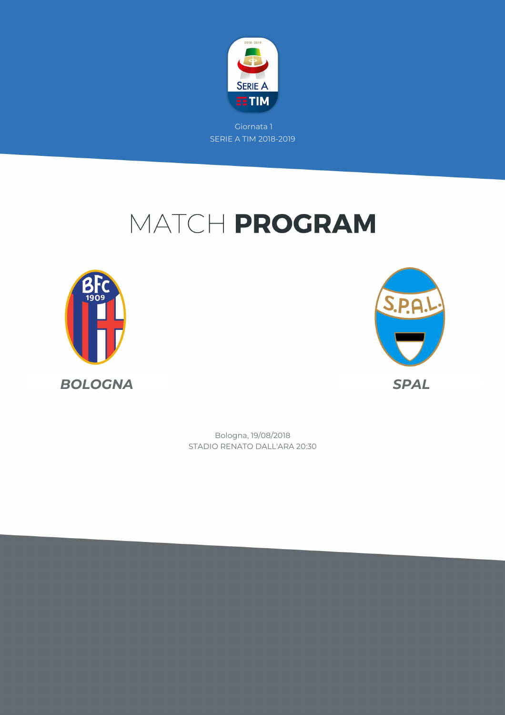

# MATCH PROGRAM





STADIO RENATO DALL'ARA 20:30 Bologna, 19/08/2018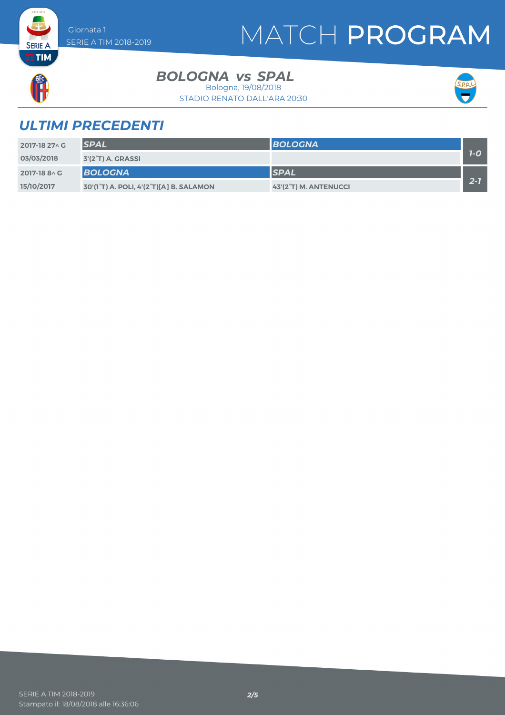## MATCH PROGRAM



**SERIE A** 

#### **BOLOGNA** vs SPAL

STADIO RENATO DALL'ARA 20:30 Bologna, 19/08/2018



### *ULTIMI PRECEDENTI*

| 2017-18 27 \ C | <b>SPAL</b>                             | <b>BOLOGNA</b>        |         |
|----------------|-----------------------------------------|-----------------------|---------|
| 03/03/2018     | 3'(2 <sup>°</sup> T) A. GRASSI          |                       | $1 - O$ |
| 2017-18 8 \ C  | <b>BOLOGNA</b>                          | <b>SPAL</b>           |         |
| 15/10/2017     | 30'(1°T) A. POLI, 4'(2°T)[A] B. SALAMON | 43'(2°T) M. ANTENUCCI | $2 - 1$ |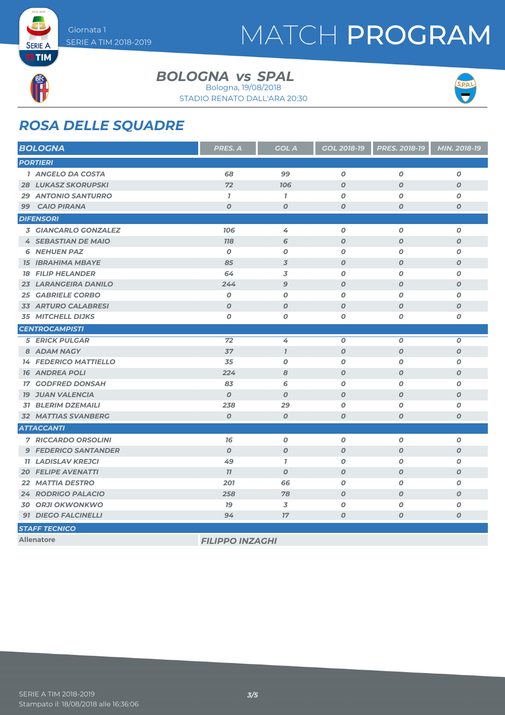## MATCH PROGRAM



**SERIE A** 

**BOLOGNA** vs SPAL

STADIO RENATO DALL'ARA 20:30 Bologna, 19/08/2018



### *ROSA DELLE SQUADRE*

| <b>BOLOGNA</b>               | <b>PRES. A</b>         | <b>GOL A</b>     | <b>GOL 2018-19</b> | PRES. 2018-19    | MIN. 2018-19     |
|------------------------------|------------------------|------------------|--------------------|------------------|------------------|
| <b>PORTIERI</b>              |                        |                  |                    |                  |                  |
| 1 ANGELO DA COSTA            | 68                     | 99               | $\boldsymbol{0}$   | $\boldsymbol{O}$ | 0                |
| <b>28 LUKASZ SKORUPSKI</b>   | 72                     | 106              | $\boldsymbol{O}$   | $\boldsymbol{O}$ | $\boldsymbol{o}$ |
| <b>29 ANTONIO SANTURRO</b>   | $\mathbf{I}$           | $\mathbf{I}$     | 0                  | 0                | O                |
| 99 CAIO PIRANA               | $\boldsymbol{O}$       | O                | $\boldsymbol{o}$   | $\boldsymbol{0}$ | $\boldsymbol{o}$ |
| <b>DIFENSORI</b>             |                        |                  |                    |                  |                  |
| 3 GIANCARLO GONZALEZ         | 106                    | 4                | $\boldsymbol{0}$   | $\boldsymbol{O}$ | $\boldsymbol{o}$ |
| <b>4 SEBASTIAN DE MAIO</b>   | <b>118</b>             | 6                | $\boldsymbol{o}$   | $\boldsymbol{O}$ | $\boldsymbol{o}$ |
| <b>6 NEHUEN PAZ</b>          | $\boldsymbol{O}$       | O                | 0                  | O                | O                |
| <b>15 IBRAHIMA MBAYE</b>     | 85                     | 3                | $\boldsymbol{O}$   | $\boldsymbol{O}$ | O                |
| <b>18 FILIP HELANDER</b>     | 64                     | 3                | 0                  | $\boldsymbol{0}$ | O                |
| <b>23 LARANGEIRA DANILO</b>  | 244                    | 9                | $\boldsymbol{O}$   | $\boldsymbol{O}$ | $\boldsymbol{O}$ |
| <b>25 GABRIELE CORBO</b>     | $\boldsymbol{O}$       | O                | 0                  | $\boldsymbol{O}$ | $\boldsymbol{o}$ |
| <b>33 ARTURO CALABRESI</b>   | $\boldsymbol{O}$       | $\boldsymbol{O}$ | $\boldsymbol{O}$   | $\boldsymbol{O}$ | $\boldsymbol{O}$ |
| <b>35 MITCHELL DIJKS</b>     | O                      | O                | 0                  | $\boldsymbol{O}$ | O                |
| <b>CENTROCAMPISTI</b>        |                        |                  |                    |                  |                  |
| <b>5 ERICK PULGAR</b>        | 72                     | 4                | $\boldsymbol{0}$   | $\boldsymbol{O}$ | $\boldsymbol{o}$ |
| 8 ADAM NAGY                  | 37                     | $\mathcal{I}$    | $\boldsymbol{0}$   | $\boldsymbol{O}$ | $\boldsymbol{O}$ |
| <b>14 FEDERICO MATTIELLO</b> | 35                     | O                | 0                  | $\boldsymbol{O}$ | $\boldsymbol{o}$ |
| <b>16 ANDREA POLI</b>        | 224                    | 8                | $\boldsymbol{0}$   | $\boldsymbol{O}$ | $\boldsymbol{O}$ |
| <b>17 GODFRED DONSAH</b>     | 83                     | 6                | 0                  | $\boldsymbol{O}$ | $\boldsymbol{o}$ |
| <b>19 JUAN VALENCIA</b>      | $\boldsymbol{O}$       | $\boldsymbol{O}$ | $\boldsymbol{0}$   | $\boldsymbol{O}$ | $\boldsymbol{O}$ |
| <b>31 BLERIM DZEMAILI</b>    | 238                    | 29               | 0                  | $\boldsymbol{O}$ | $\pmb{o}$        |
| <b>32 MATTIAS SVANBERG</b>   | $\boldsymbol{O}$       | $\boldsymbol{O}$ | $\boldsymbol{0}$   | $\boldsymbol{O}$ | $\boldsymbol{o}$ |
| <b>ATTACCANTI</b>            |                        |                  |                    |                  |                  |
| <b>7 RICCARDO ORSOLINI</b>   | 76                     | $\boldsymbol{O}$ | $\boldsymbol{0}$   | $\boldsymbol{O}$ | $\boldsymbol{o}$ |
| <b>9 FEDERICO SANTANDER</b>  | $\boldsymbol{O}$       | $\boldsymbol{o}$ | $\boldsymbol{O}$   | $\boldsymbol{O}$ | $\boldsymbol{o}$ |
| <b>11 LADISLAV KREJCI</b>    | 49                     | $\mathbf{I}$     | $\boldsymbol{0}$   | $\boldsymbol{O}$ | $\boldsymbol{o}$ |
| <b>20 FELIPE AVENATTI</b>    | 77                     | $\boldsymbol{O}$ | $\boldsymbol{O}$   | $\boldsymbol{O}$ | $\boldsymbol{o}$ |
| <b>22 MATTIA DESTRO</b>      | 201                    | 66               | $\boldsymbol{0}$   | $\boldsymbol{O}$ | $\boldsymbol{o}$ |
| <b>24 RODRIGO PALACIO</b>    | 258                    | 78               | $\boldsymbol{0}$   | $\boldsymbol{O}$ | $\boldsymbol{O}$ |
| <b>30 ORJI OKWONKWO</b>      | 79                     | 3                | $\boldsymbol{o}$   | $\boldsymbol{O}$ | O                |
| 91 DIEGO FALCINELLI          | 94                     | 17               | O                  | $\boldsymbol{O}$ | $\boldsymbol{o}$ |
| <b>STAFF TECNICO</b>         |                        |                  |                    |                  |                  |
| <b>Allenatore</b>            | <b>FILIPPO INZAGHI</b> |                  |                    |                  |                  |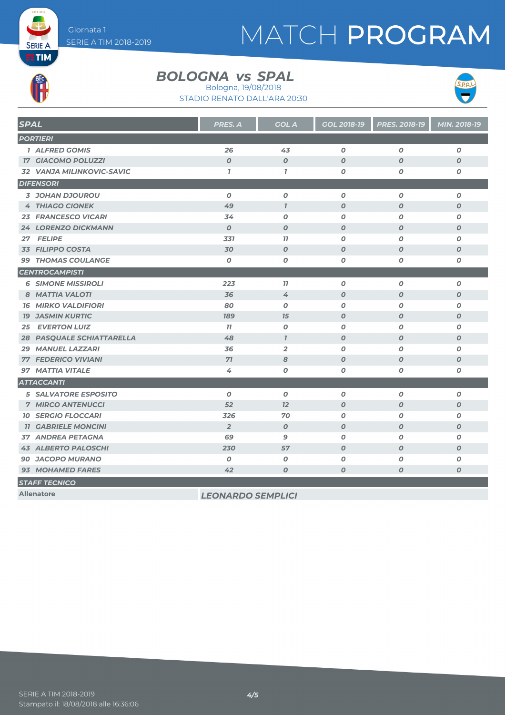## MATCH PROGRAM



**SERIE A** 

#### **BOLOGNA** vs SPAL

Bologna, 19/08/2018



STADIO RENATO DALL'ARA 20:30

| <b>SPAL</b>                 | PRES. A                  | <b>GOL A</b>     | GOL 2018-19      | <b>PRES. 2018-19</b> | MIN. 2018-19     |
|-----------------------------|--------------------------|------------------|------------------|----------------------|------------------|
| <b>PORTIERI</b>             |                          |                  |                  |                      |                  |
| 1 ALFRED GOMIS              | 26                       | 43               | $\boldsymbol{0}$ | $\boldsymbol{O}$     | $\pmb{o}$        |
| <b>17 GIACOMO POLUZZI</b>   | $\boldsymbol{O}$         | $\boldsymbol{O}$ | $\boldsymbol{O}$ | $\boldsymbol{0}$     | $\boldsymbol{O}$ |
| 32 VANJA MILINKOVIC-SAVIC   | $\mathbf{7}$             | $\mathbf{7}$     | 0                | $\boldsymbol{O}$     | 0                |
| <b>DIFENSORI</b>            |                          |                  |                  |                      |                  |
| 3 JOHAN DJOUROU             | $\boldsymbol{0}$         | $\boldsymbol{O}$ | 0                | O                    | 0                |
| <b>4 THIAGO CIONEK</b>      | 49                       | $\mathbf{I}$     | $\boldsymbol{O}$ | $\boldsymbol{O}$     | $\boldsymbol{O}$ |
| <b>23 FRANCESCO VICARI</b>  | 34                       | $\boldsymbol{0}$ | $\boldsymbol{O}$ | O                    | $\boldsymbol{O}$ |
| 24 LORENZO DICKMANN         | $\boldsymbol{O}$         | $\boldsymbol{O}$ | $\boldsymbol{o}$ | $\boldsymbol{0}$     | $\boldsymbol{o}$ |
| 27 FELIPE                   | 331                      | 77               | 0                | $\boldsymbol{O}$     | 0                |
| 33 FILIPPO COSTA            | 30                       | $\boldsymbol{O}$ | $\boldsymbol{O}$ | $\boldsymbol{O}$     | $\boldsymbol{O}$ |
| <b>99 THOMAS COULANGE</b>   | $\boldsymbol{0}$         | $\boldsymbol{0}$ | $\boldsymbol{o}$ | $\boldsymbol{O}$     | $\boldsymbol{o}$ |
| <b>CENTROCAMPISTI</b>       |                          |                  |                  |                      |                  |
| <b>6 SIMONE MISSIROLI</b>   | 223                      | 77               | 0                | O                    | $\boldsymbol{o}$ |
| 8 MATTIA VALOTI             | 36                       | 4                | $\boldsymbol{O}$ | $\boldsymbol{O}$     | $\boldsymbol{O}$ |
| <b>16 MIRKO VALDIFIORI</b>  | 80                       | $\boldsymbol{o}$ | 0                | $\boldsymbol{O}$     | 0                |
| <b>19 JASMIN KURTIC</b>     | <b>189</b>               | 15               | $\boldsymbol{O}$ | O                    | $\boldsymbol{O}$ |
| <b>EVERTON LUIZ</b><br>25   | 77                       | $\boldsymbol{0}$ | $\boldsymbol{O}$ | $\boldsymbol{O}$     | O                |
| 28 PASQUALE SCHIATTARELLA   | 48                       | $\mathbf{7}$     | $\boldsymbol{O}$ | $\boldsymbol{O}$     | $\boldsymbol{O}$ |
| <b>29 MANUEL LAZZARI</b>    | 36                       | $\overline{2}$   | 0                | O                    | 0                |
| <b>77 FEDERICO VIVIANI</b>  | 71                       | 8                | $\boldsymbol{O}$ | $\boldsymbol{O}$     | $\boldsymbol{O}$ |
| <b>97 MATTIA VITALE</b>     | 4                        | $\boldsymbol{0}$ | $\boldsymbol{o}$ | 0                    | $\boldsymbol{o}$ |
| <b>ATTACCANTI</b>           |                          |                  |                  |                      |                  |
| <b>5 SALVATORE ESPOSITO</b> | $\boldsymbol{0}$         | $\boldsymbol{0}$ | $\boldsymbol{O}$ | $\boldsymbol{O}$     | 0                |
| <b>7 MIRCO ANTENUCCI</b>    | 52                       | 12               | $\boldsymbol{O}$ | $\boldsymbol{0}$     | $\boldsymbol{O}$ |
| <b>10 SERGIO FLOCCARI</b>   | 326                      | 70               | $\boldsymbol{0}$ | $\boldsymbol{O}$     | O                |
| <b>11 GABRIELE MONCINI</b>  | $\overline{2}$           | $\boldsymbol{O}$ | $\boldsymbol{o}$ | O                    | $\boldsymbol{O}$ |
| <b>37 ANDREA PETAGNA</b>    | 69                       | 9                | $\boldsymbol{o}$ | $\boldsymbol{O}$     | $\boldsymbol{o}$ |
| <b>43 ALBERTO PALOSCHI</b>  | 230                      | 57               | $\boldsymbol{O}$ | $\boldsymbol{O}$     | $\boldsymbol{O}$ |
| <b>90 JACOPO MURANO</b>     | $\boldsymbol{0}$         | $\boldsymbol{o}$ | O                | 0                    | 0                |
| 93 MOHAMED FARES            | 42                       | $\boldsymbol{0}$ | $\boldsymbol{o}$ | 0                    | O                |
| <b>STAFF TECNICO</b>        |                          |                  |                  |                      |                  |
| <b>Allenatore</b>           | <b>LEONARDO SEMPLICI</b> |                  |                  |                      |                  |